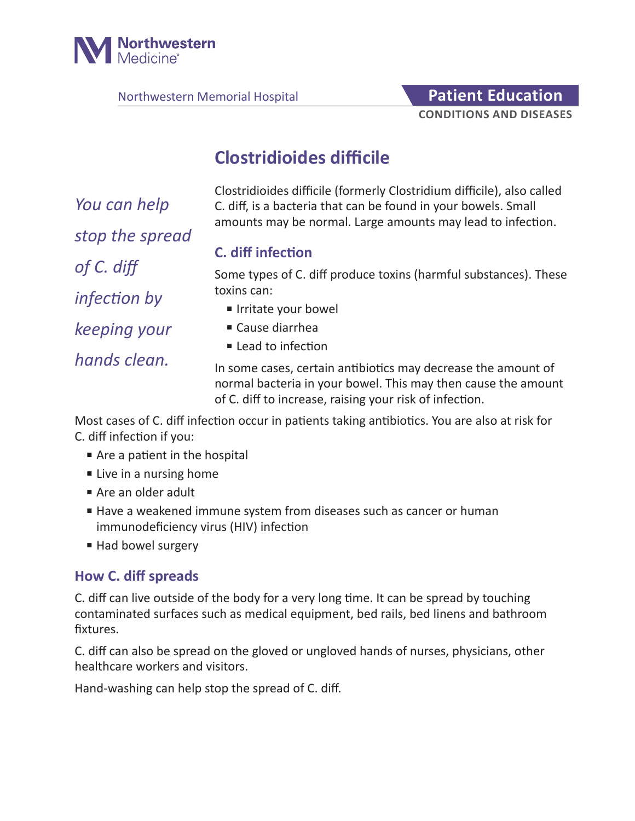

Northwestern Memorial Hospital **Patient Education** 

# **CONDITIONS AND DISEASES**

## **Clostridioides difficile**

*You can help stop the spread of C. diff infection by keeping your hands clean.*

Clostridioides difficile (formerly Clostridium difficile), also called C. diff, is a bacteria that can be found in your bowels. Small amounts may be normal. Large amounts may lead to infection.

#### **C. diff infection**

Some types of C. diff produce toxins (harmful substances). These toxins can:

- Irritate your bowel
- Cause diarrhea
- Lead to infection

In some cases, certain antibiotics may decrease the amount of normal bacteria in your bowel. This may then cause the amount of C. diff to increase, raising your risk of infection.

Most cases of C. diff infection occur in patients taking antibiotics. You are also at risk for C. diff infection if you:

- Are a patient in the hospital
- Live in a nursing home
- Are an older adult
- Have a weakened immune system from diseases such as cancer or human immunodeficiency virus (HIV) infection
- Had bowel surgery

#### **How C. diff spreads**

C. diff can live outside of the body for a very long time. It can be spread by touching contaminated surfaces such as medical equipment, bed rails, bed linens and bathroom fixtures.

C. diff can also be spread on the gloved or ungloved hands of nurses, physicians, other healthcare workers and visitors.

Hand-washing can help stop the spread of C. diff.